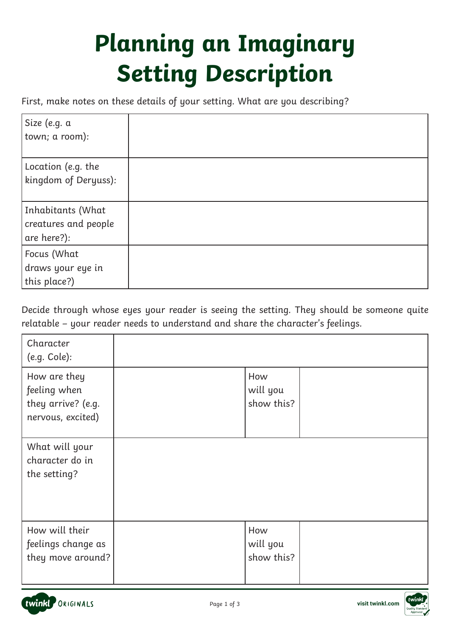## **Planning an Imaginary Setting Description**

First, make notes on these details of your setting. What are you describing?

| Size (e.g. a<br>town; a room):                           |  |
|----------------------------------------------------------|--|
| Location (e.g. the<br>kingdom of Deryuss):               |  |
| Inhabitants (What<br>creatures and people<br>are here?): |  |
| Focus (What<br>draws your eye in<br>this place?)         |  |

Decide through whose eyes your reader is seeing the setting. They should be someone quite relatable – your reader needs to understand and share the character's feelings.

| Character<br>(e.g. Cole):                                               |                               |  |
|-------------------------------------------------------------------------|-------------------------------|--|
| How are they<br>feeling when<br>they arrive? (e.g.<br>nervous, excited) | How<br>will you<br>show this? |  |
| What will your<br>character do in<br>the setting?                       |                               |  |
| How will their<br>feelings change as<br>they move around?               | How<br>will you<br>show this? |  |



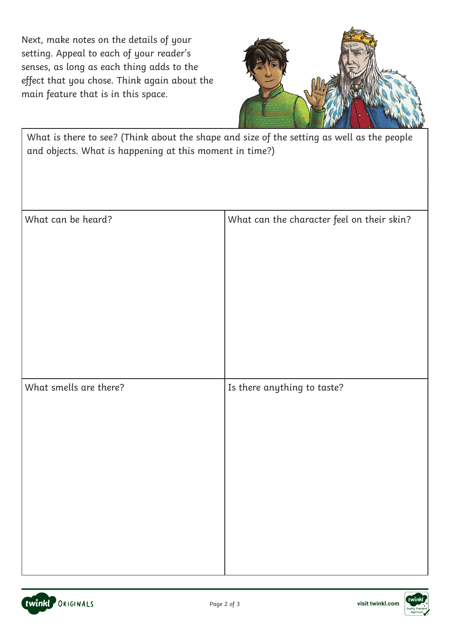Next, make notes on the details of your setting. Appeal to each of your reader's senses, as long as each thing adds to the effect that you chose. Think again about the main feature that is in this space.



What is there to see? (Think about the shape and size of the setting as well as the people and objects. What is happening at this moment in time?)

| What can be heard?     | What can the character feel on their skin? |
|------------------------|--------------------------------------------|
| What smells are there? | Is there anything to taste?                |